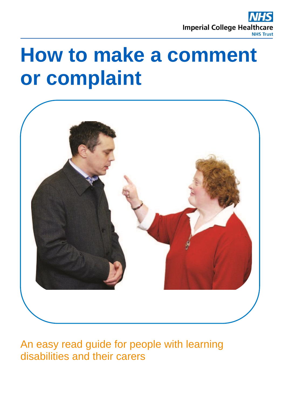

# **How to make a comment or complaint**



An easy read guide for people with learning disabilities and their carers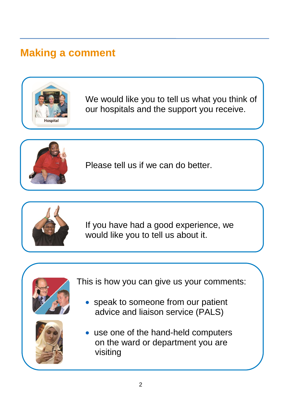### **Making a comment**



We would like you to tell us what you think of our hospitals and the support you receive.



Please tell us if we can do better.



If you have had a good experience, we would like you to tell us about it.



This is how you can give us your comments:

• speak to someone from our patient advice and liaison service (PALS)



 use one of the hand-held computers on the ward or department you are visiting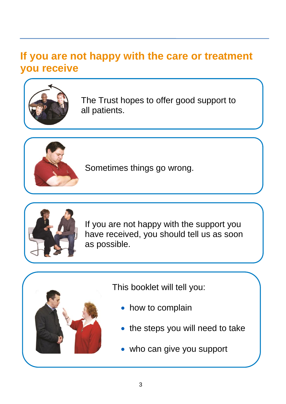### **If you are not happy with the care or treatment you receive**



The Trust hopes to offer good support to all patients.



Sometimes things go wrong.



If you are not happy with the support you have received, you should tell us as soon as possible.



This booklet will tell you:

- how to complain
- the steps you will need to take
- who can give you support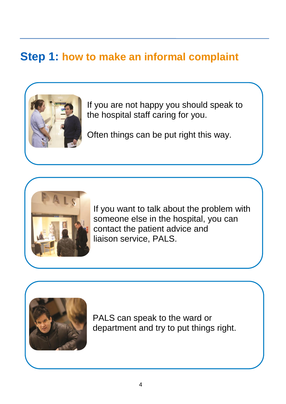### **Step 1: how to make an informal complaint**



If you are not happy you should speak to the hospital staff caring for you.

Often things can be put right this way.



If you want to talk about the problem with someone else in the hospital, you can contact the patient advice and liaison service, PALS.



PALS can speak to the ward or department and try to put things right.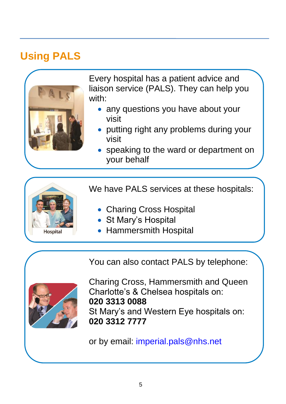### **Using PALS**



Every hospital has a patient advice and liaison service (PALS). They can help you with:

- any questions you have about your visit
- putting right any problems during your visit
- speaking to the ward or department on your behalf

We have PALS services at these hospitals:

- Charing Cross Hospital
- St Mary's Hospital
- Hammersmith Hospital

You can also contact PALS by telephone:



**Hospital** 

Charing Cross, Hammersmith and Queen Charlotte's & Chelsea hospitals on: **020 3313 0088** St Mary's and Western Eye hospitals on: **020 3312 7777**

or by email: [imperial.pals@nhs.net](mailto:imperial.pals@nhs.net)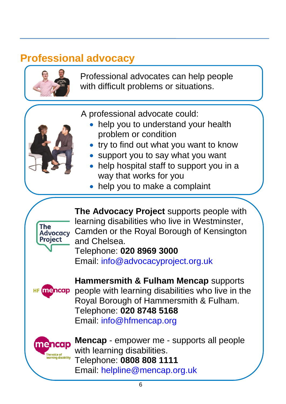### **Professional advocacy**



Professional advocates can help people with difficult problems or situations.

A professional advocate could:

- help you to understand your health problem or condition
- try to find out what you want to know
- support you to say what you want
- help hospital staff to support you in a way that works for you
- help you to make a complaint



**The Advocacy Project** supports people with learning disabilities who live in Westminster, Camden or the Royal Borough of Kensington and Chelsea.

Telephone: **020 8969 3000**

Email: [info@advocacyproject.org.uk](mailto:info@advocacyproject.org.uk)



**Hammersmith & Fulham Mencap** supports people with learning disabilities who live in the Royal Borough of Hammersmith & Fulham. Telephone: **020 8748 5168** Email: [info@hfmencap.org](mailto:info@hfmencap.org)



**Mencap** - empower me - supports all people with learning disabilities. Telephone: **0808 808 1111** Email: [helpline@mencap.org.uk](mailto:helpline@mencap.org.uk)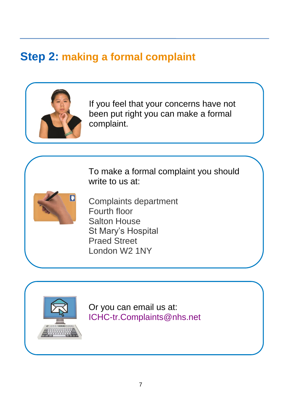# **Step 2: making a formal complaint**



If you feel that your concerns have not been put right you can make a formal complaint.

To make a formal complaint you should write to us at:



Complaints department Fourth floor Salton House St Mary's Hospital Praed Street London W2 1NY

W2 1NY



Or you can email us at: [ICHC-tr.Complaints@nhs.net](mailto:ICHC-tr.Complaints@nhs.net)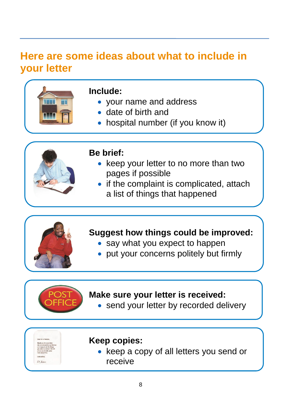### **Here are some ideas about what to include in your letter**



#### **Include:**

- your name and address
- date of birth and
- hospital number (if you know it)



#### **Be brief:**

- keep your letter to no more than two pages if possible
- if the complaint is complicated, attach a list of things that happened

#### **Suggest how things could be improved:**

- say what you expect to happen
- put your concerns politely but firmly

#### **Make sure your letter is received:**

send your letter by recorded delivery



#### **Keep copies:**

• keep a copy of all letters you send or receive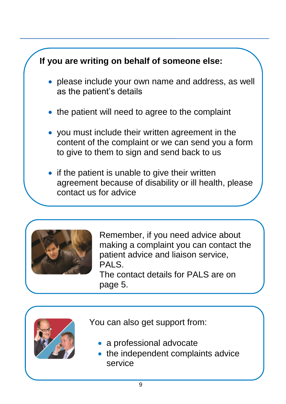



Remember, if you need advice about making a complaint you can contact the patient advice and liaison service, PALS.

The contact details for PALS are on page 5.



You can also get support from:

- a professional advocate
- the independent complaints advice service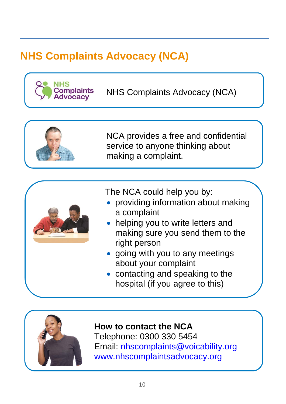# **NHS Complaints Advocacy (NCA)**



NHS Complaints Advocacy (NCA)



The NCA could help you by:

- providing information about making a complaint
- helping you to write letters and making sure you send them to the right person
- going with you to any meetings about your complaint
- contacting and speaking to the hospital (if you agree to this)



#### **How to contact the NCA**

Telephone: 0300 330 5454 Email: [nhscomplaints@voicability.org](mailto:nhscomplaints@voicability.org) [www.nhscomplaintsadvocacy.org](http://www.nhscomplaintsadvocacy.org/)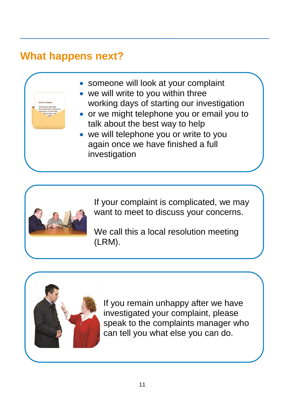### **What happens next?**

- someone will look at your complaint
- we will write to you within three working days of starting our investigation
- or we might telephone you or email you to talk about the best way to help
- we will telephone you or write to you again once we have finished a full investigation



If your complaint is complicated, we may want to meet to discuss your concerns.

We call this a local resolution meeting (LRM).



If you remain unhappy after we have investigated your complaint, please speak to the complaints manager who can tell you what else you can do.